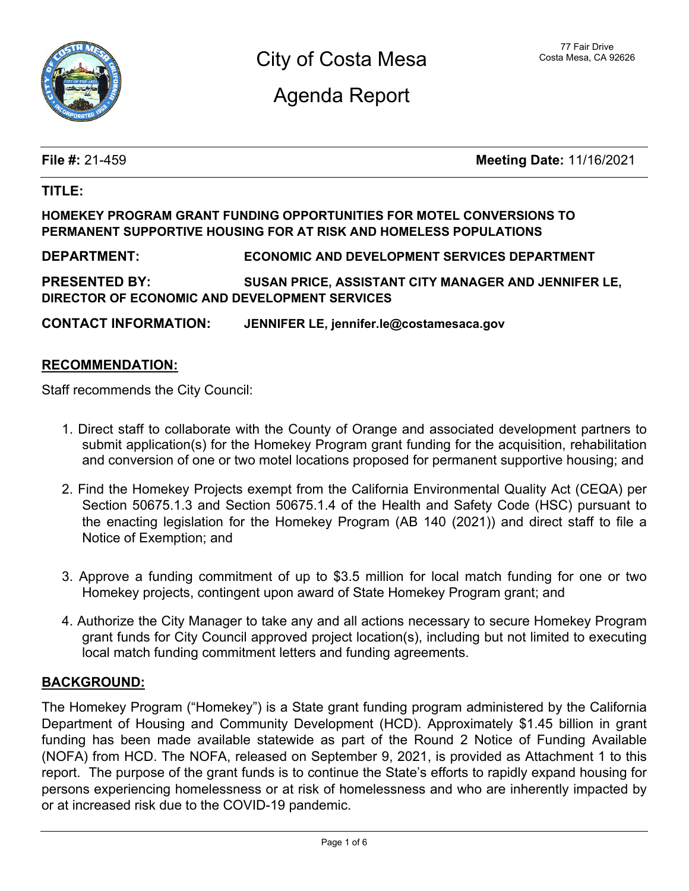

Agenda Report

**File #:** 21-459 **Meeting Date:** 11/16/2021

### **TITLE:**

### **HOMEKEY PROGRAM GRANT FUNDING OPPORTUNITIES FOR MOTEL CONVERSIONS TO PERMANENT SUPPORTIVE HOUSING FOR AT RISK AND HOMELESS POPULATIONS**

**DEPARTMENT: ECONOMIC AND DEVELOPMENT SERVICES DEPARTMENT**

**PRESENTED BY: SUSAN PRICE, ASSISTANT CITY MANAGER AND JENNIFER LE, DIRECTOR OF ECONOMIC AND DEVELOPMENT SERVICES**

**CONTACT INFORMATION: JENNIFER LE, jennifer.le@costamesaca.gov**

### **RECOMMENDATION:**

Staff recommends the City Council:

- 1. Direct staff to collaborate with the County of Orange and associated development partners to submit application(s) for the Homekey Program grant funding for the acquisition, rehabilitation and conversion of one or two motel locations proposed for permanent supportive housing; and
- 2. Find the Homekey Projects exempt from the California Environmental Quality Act (CEQA) per Section 50675.1.3 and Section 50675.1.4 of the Health and Safety Code (HSC) pursuant to the enacting legislation for the Homekey Program (AB 140 (2021)) and direct staff to file a Notice of Exemption; and
- 3. Approve a funding commitment of up to \$3.5 million for local match funding for one or two Homekey projects, contingent upon award of State Homekey Program grant; and
- 4. Authorize the City Manager to take any and all actions necessary to secure Homekey Program grant funds for City Council approved project location(s), including but not limited to executing local match funding commitment letters and funding agreements.

### **BACKGROUND:**

The Homekey Program ("Homekey") is a State grant funding program administered by the California Department of Housing and Community Development (HCD). Approximately \$1.45 billion in grant funding has been made available statewide as part of the Round 2 Notice of Funding Available (NOFA) from HCD. The NOFA, released on September 9, 2021, is provided as Attachment 1 to this report. The purpose of the grant funds is to continue the State's efforts to rapidly expand housing for persons experiencing homelessness or at risk of homelessness and who are inherently impacted by or at increased risk due to the COVID-19 pandemic.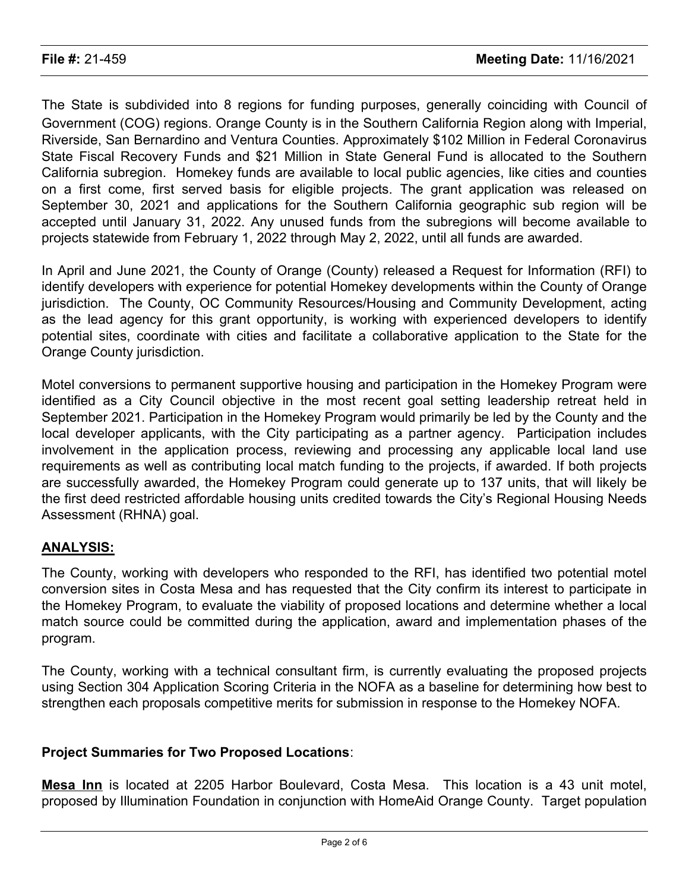The State is subdivided into 8 regions for funding purposes, generally coinciding with Council of Government (COG) regions. Orange County is in the Southern California Region along with Imperial, Riverside, San Bernardino and Ventura Counties. Approximately \$102 Million in Federal Coronavirus State Fiscal Recovery Funds and \$21 Million in State General Fund is allocated to the Southern California subregion. Homekey funds are available to local public agencies, like cities and counties on a first come, first served basis for eligible projects. The grant application was released on September 30, 2021 and applications for the Southern California geographic sub region will be accepted until January 31, 2022. Any unused funds from the subregions will become available to projects statewide from February 1, 2022 through May 2, 2022, until all funds are awarded.

In April and June 2021, the County of Orange (County) released a Request for Information (RFI) to identify developers with experience for potential Homekey developments within the County of Orange jurisdiction. The County, OC Community Resources/Housing and Community Development, acting as the lead agency for this grant opportunity, is working with experienced developers to identify potential sites, coordinate with cities and facilitate a collaborative application to the State for the Orange County jurisdiction.

Motel conversions to permanent supportive housing and participation in the Homekey Program were identified as a City Council objective in the most recent goal setting leadership retreat held in September 2021. Participation in the Homekey Program would primarily be led by the County and the local developer applicants, with the City participating as a partner agency. Participation includes involvement in the application process, reviewing and processing any applicable local land use requirements as well as contributing local match funding to the projects, if awarded. If both projects are successfully awarded, the Homekey Program could generate up to 137 units, that will likely be the first deed restricted affordable housing units credited towards the City's Regional Housing Needs Assessment (RHNA) goal.

# **ANALYSIS:**

The County, working with developers who responded to the RFI, has identified two potential motel conversion sites in Costa Mesa and has requested that the City confirm its interest to participate in the Homekey Program, to evaluate the viability of proposed locations and determine whether a local match source could be committed during the application, award and implementation phases of the program.

The County, working with a technical consultant firm, is currently evaluating the proposed projects using Section 304 Application Scoring Criteria in the NOFA as a baseline for determining how best to strengthen each proposals competitive merits for submission in response to the Homekey NOFA.

# **Project Summaries for Two Proposed Locations**:

**Mesa Inn** is located at 2205 Harbor Boulevard, Costa Mesa. This location is a 43 unit motel, proposed by Illumination Foundation in conjunction with HomeAid Orange County. Target population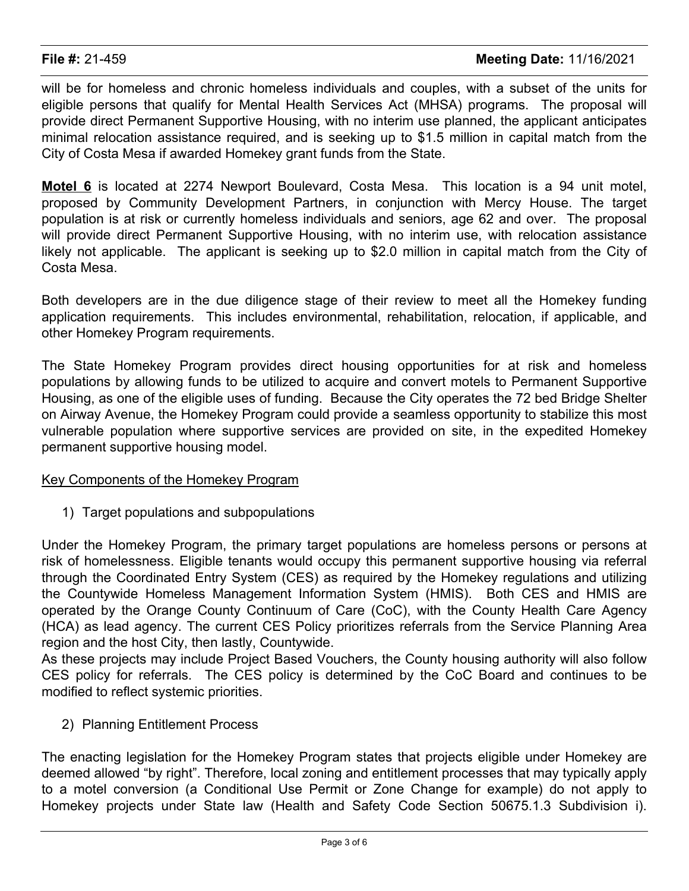will be for homeless and chronic homeless individuals and couples, with a subset of the units for eligible persons that qualify for Mental Health Services Act (MHSA) programs. The proposal will provide direct Permanent Supportive Housing, with no interim use planned, the applicant anticipates minimal relocation assistance required, and is seeking up to \$1.5 million in capital match from the City of Costa Mesa if awarded Homekey grant funds from the State.

**Motel 6** is located at 2274 Newport Boulevard, Costa Mesa. This location is a 94 unit motel, proposed by Community Development Partners, in conjunction with Mercy House. The target population is at risk or currently homeless individuals and seniors, age 62 and over. The proposal will provide direct Permanent Supportive Housing, with no interim use, with relocation assistance likely not applicable. The applicant is seeking up to \$2.0 million in capital match from the City of Costa Mesa.

Both developers are in the due diligence stage of their review to meet all the Homekey funding application requirements. This includes environmental, rehabilitation, relocation, if applicable, and other Homekey Program requirements.

The State Homekey Program provides direct housing opportunities for at risk and homeless populations by allowing funds to be utilized to acquire and convert motels to Permanent Supportive Housing, as one of the eligible uses of funding. Because the City operates the 72 bed Bridge Shelter on Airway Avenue, the Homekey Program could provide a seamless opportunity to stabilize this most vulnerable population where supportive services are provided on site, in the expedited Homekey permanent supportive housing model.

# Key Components of the Homekey Program

1) Target populations and subpopulations

Under the Homekey Program, the primary target populations are homeless persons or persons at risk of homelessness. Eligible tenants would occupy this permanent supportive housing via referral through the Coordinated Entry System (CES) as required by the Homekey regulations and utilizing the Countywide Homeless Management Information System (HMIS). Both CES and HMIS are operated by the Orange County Continuum of Care (CoC), with the County Health Care Agency (HCA) as lead agency. The current CES Policy prioritizes referrals from the Service Planning Area region and the host City, then lastly, Countywide.

As these projects may include Project Based Vouchers, the County housing authority will also follow CES policy for referrals. The CES policy is determined by the CoC Board and continues to be modified to reflect systemic priorities.

### 2) Planning Entitlement Process

The enacting legislation for the Homekey Program states that projects eligible under Homekey are deemed allowed "by right". Therefore, local zoning and entitlement processes that may typically apply to a motel conversion (a Conditional Use Permit or Zone Change for example) do not apply to Homekey projects under State law (Health and Safety Code Section 50675.1.3 Subdivision i).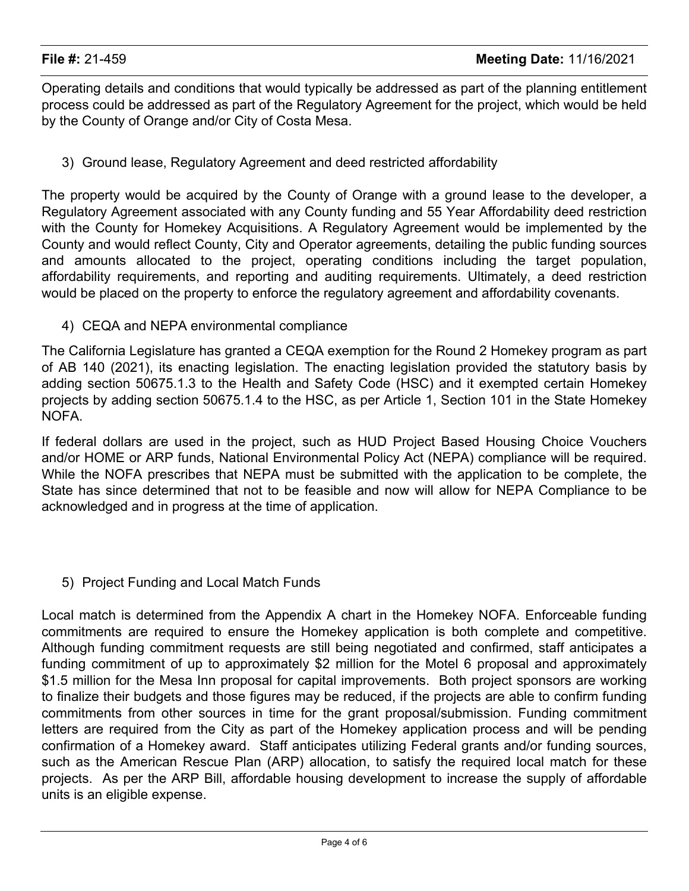Operating details and conditions that would typically be addressed as part of the planning entitlement process could be addressed as part of the Regulatory Agreement for the project, which would be held by the County of Orange and/or City of Costa Mesa.

3) Ground lease, Regulatory Agreement and deed restricted affordability

The property would be acquired by the County of Orange with a ground lease to the developer, a Regulatory Agreement associated with any County funding and 55 Year Affordability deed restriction with the County for Homekey Acquisitions. A Regulatory Agreement would be implemented by the County and would reflect County, City and Operator agreements, detailing the public funding sources and amounts allocated to the project, operating conditions including the target population, affordability requirements, and reporting and auditing requirements. Ultimately, a deed restriction would be placed on the property to enforce the regulatory agreement and affordability covenants.

4) CEQA and NEPA environmental compliance

The California Legislature has granted a CEQA exemption for the Round 2 Homekey program as part of AB 140 (2021), its enacting legislation. The enacting legislation provided the statutory basis by adding section 50675.1.3 to the Health and Safety Code (HSC) and it exempted certain Homekey projects by adding section 50675.1.4 to the HSC, as per Article 1, Section 101 in the State Homekey NOFA.

If federal dollars are used in the project, such as HUD Project Based Housing Choice Vouchers and/or HOME or ARP funds, National Environmental Policy Act (NEPA) compliance will be required. While the NOFA prescribes that NEPA must be submitted with the application to be complete, the State has since determined that not to be feasible and now will allow for NEPA Compliance to be acknowledged and in progress at the time of application.

5) Project Funding and Local Match Funds

Local match is determined from the Appendix A chart in the Homekey NOFA. Enforceable funding commitments are required to ensure the Homekey application is both complete and competitive. Although funding commitment requests are still being negotiated and confirmed, staff anticipates a funding commitment of up to approximately \$2 million for the Motel 6 proposal and approximately \$1.5 million for the Mesa Inn proposal for capital improvements. Both project sponsors are working to finalize their budgets and those figures may be reduced, if the projects are able to confirm funding commitments from other sources in time for the grant proposal/submission. Funding commitment letters are required from the City as part of the Homekey application process and will be pending confirmation of a Homekey award. Staff anticipates utilizing Federal grants and/or funding sources, such as the American Rescue Plan (ARP) allocation, to satisfy the required local match for these projects. As per the ARP Bill, affordable housing development to increase the supply of affordable units is an eligible expense.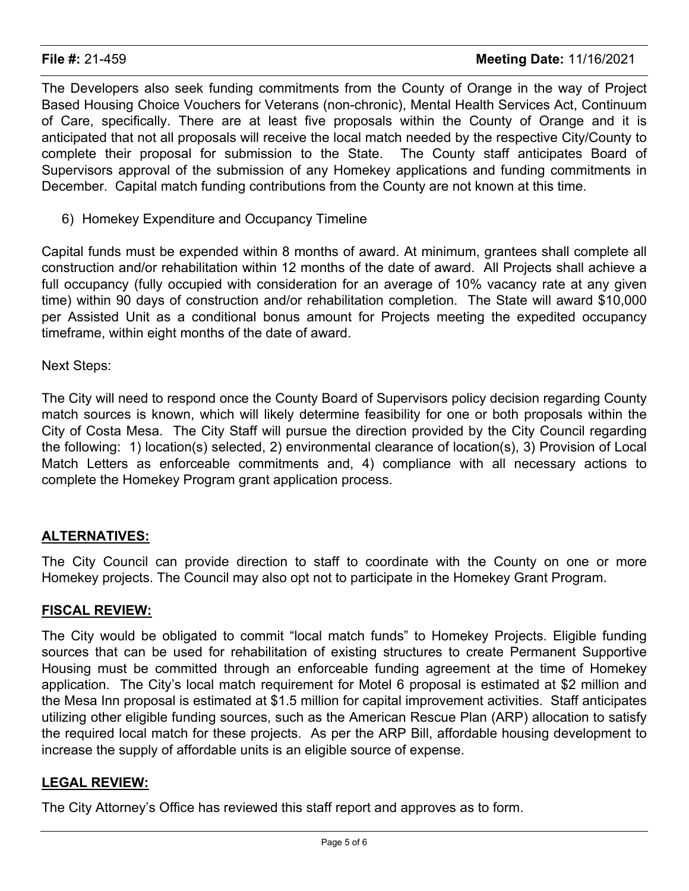The Developers also seek funding commitments from the County of Orange in the way of Project Based Housing Choice Vouchers for Veterans (non-chronic), Mental Health Services Act, Continuum of Care, specifically. There are at least five proposals within the County of Orange and it is anticipated that not all proposals will receive the local match needed by the respective City/County to complete their proposal for submission to the State. The County staff anticipates Board of Supervisors approval of the submission of any Homekey applications and funding commitments in December. Capital match funding contributions from the County are not known at this time.

6) Homekey Expenditure and Occupancy Timeline

Capital funds must be expended within 8 months of award. At minimum, grantees shall complete all construction and/or rehabilitation within 12 months of the date of award. All Projects shall achieve a full occupancy (fully occupied with consideration for an average of 10% vacancy rate at any given time) within 90 days of construction and/or rehabilitation completion. The State will award \$10,000 per Assisted Unit as a conditional bonus amount for Projects meeting the expedited occupancy timeframe, within eight months of the date of award.

Next Steps:

The City will need to respond once the County Board of Supervisors policy decision regarding County match sources is known, which will likely determine feasibility for one or both proposals within the City of Costa Mesa. The City Staff will pursue the direction provided by the City Council regarding the following: 1) location(s) selected, 2) environmental clearance of location(s), 3) Provision of Local Match Letters as enforceable commitments and, 4) compliance with all necessary actions to complete the Homekey Program grant application process.

# **ALTERNATIVES:**

The City Council can provide direction to staff to coordinate with the County on one or more Homekey projects. The Council may also opt not to participate in the Homekey Grant Program.

### **FISCAL REVIEW:**

The City would be obligated to commit "local match funds" to Homekey Projects. Eligible funding sources that can be used for rehabilitation of existing structures to create Permanent Supportive Housing must be committed through an enforceable funding agreement at the time of Homekey application. The City's local match requirement for Motel 6 proposal is estimated at \$2 million and the Mesa Inn proposal is estimated at \$1.5 million for capital improvement activities. Staff anticipates utilizing other eligible funding sources, such as the American Rescue Plan (ARP) allocation to satisfy the required local match for these projects. As per the ARP Bill, affordable housing development to increase the supply of affordable units is an eligible source of expense.

# **LEGAL REVIEW:**

The City Attorney's Office has reviewed this staff report and approves as to form.